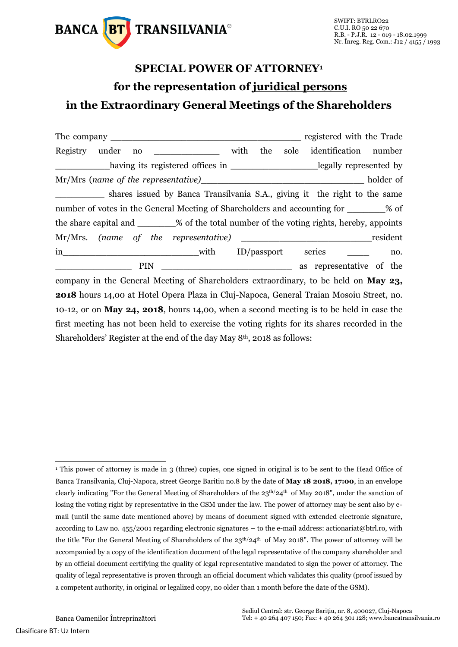

## **SPECIAL POWER OF ATTORNEY<sup>1</sup> for the representation of juridical persons in the Extraordinary General Meetings of the Shareholders**

|                                                                                                |  |     |      | registered with the Trade |  |     |
|------------------------------------------------------------------------------------------------|--|-----|------|---------------------------|--|-----|
| with<br>Registry under<br>no                                                                   |  | the | sole | identification number     |  |     |
| having its registered offices in _________________________legally represented by               |  |     |      |                           |  |     |
|                                                                                                |  |     |      |                           |  |     |
| shares issued by Banca Transilvania S.A., giving it the right to the same                      |  |     |      |                           |  |     |
| number of votes in the General Meeting of Shareholders and accounting for ________% of         |  |     |      |                           |  |     |
| the share capital and ________% of the total number of the voting rights, hereby, appoints     |  |     |      |                           |  |     |
|                                                                                                |  |     |      |                           |  |     |
|                                                                                                |  |     |      |                           |  | no. |
| $PIN \_$                                                                                       |  |     |      | as representative of the  |  |     |
| company in the General Meeting of Shareholders extraordinary, to be held on May 23,            |  |     |      |                           |  |     |
| <b>2018</b> hours 14,00 at Hotel Opera Plaza in Cluj-Napoca, General Traian Mosoiu Street, no. |  |     |      |                           |  |     |
| 10-12, or on May 24, 2018, hours 14,00, when a second meeting is to be held in case the        |  |     |      |                           |  |     |
| first meeting has not been held to exercise the voting rights for its shares recorded in the   |  |     |      |                           |  |     |
| Shareholders' Register at the end of the day May 8 <sup>th</sup> , 2018 as follows:            |  |     |      |                           |  |     |

-

<sup>1</sup> This power of attorney is made in 3 (three) copies, one signed in original is to be sent to the Head Office of Banca Transilvania, Cluj-Napoca, street George Baritiu no.8 by the date of **May 18 2018, 17:00**, in an envelope clearly indicating "For the General Meeting of Shareholders of the  $23<sup>th</sup>/24<sup>th</sup>$  of May 2018", under the sanction of losing the voting right by representative in the GSM under the law. The power of attorney may be sent also by email (until the same date mentioned above) by means of document signed with extended electronic signature, according to Law no. 455/2001 regarding electronic signatures – to the e-mail address: actionariat@btrl.ro, with the title "For the General Meeting of Shareholders of the  $23<sup>th</sup>/24<sup>th</sup>$  of May 2018". The power of attorney will be accompanied by a copy of the identification document of the legal representative of the company shareholder and by an official document certifying the quality of legal representative mandated to sign the power of attorney. The quality of legal representative is proven through an official document which validates this quality (proof issued by a competent authority, in original or legalized copy, no older than 1 month before the date of the GSM).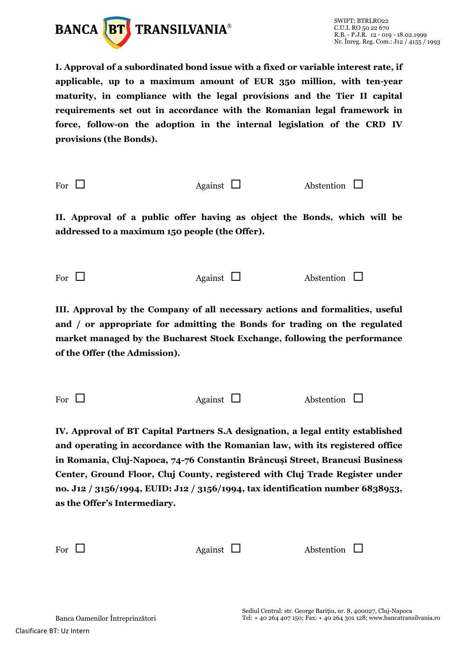

**I. Approval of a subordinated bond issue with a fixed or variable interest rate, if applicable, up to a maximum amount of EUR 350 million, with ten-year maturity, in compliance with the legal provisions and the Tier II capital requirements set out in accordance with the Romanian legal framework in force, follow-on the adoption in the internal legislation of the CRD IV provisions (the Bonds).**

For  $\Box$  Against  $\Box$  Abstention  $\Box$ 

**II. Approval of a public offer having as object the Bonds, which will be addressed to a maximum 150 people (the Offer).**

For  $\Box$  Against  $\Box$  Abstention  $\Box$ 

**III. Approval by the Company of all necessary actions and formalities, useful and / or appropriate for admitting the Bonds for trading on the regulated market managed by the Bucharest Stock Exchange, following the performance of the Offer (the Admission).**

**IV. Approval of BT Capital Partners S.A designation, a legal entity established and operating in accordance with the Romanian law, with its registered office in Romania, Cluj-Napoca, 74-76 Constantin Brâncuşi Street, Brancusi Business Center, Ground Floor, Cluj County, registered with Cluj Trade Register under no. J12 / 3156/1994, EUID: J12 / 3156/1994, tax identification number 6838953, as the Offer's Intermediary.**

| For $\Box$ | Against $\Box$ | Abstention $\Box$ |
|------------|----------------|-------------------|
|            |                |                   |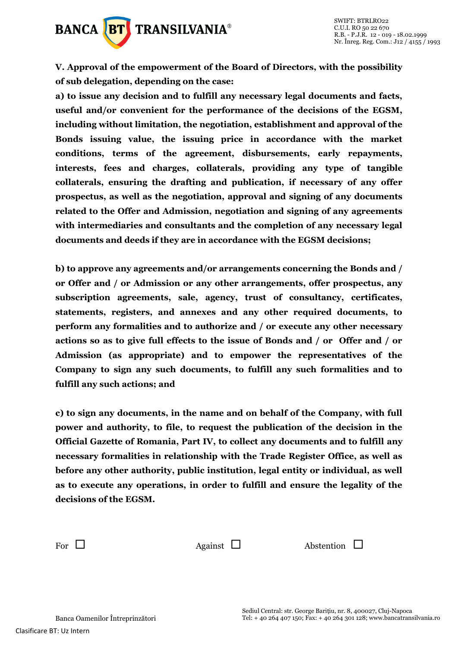

**V. Approval of the empowerment of the Board of Directors, with the possibility of sub delegation, depending on the case:**

**a) to issue any decision and to fulfill any necessary legal documents and facts, useful and/or convenient for the performance of the decisions of the EGSM, including without limitation, the negotiation, establishment and approval of the Bonds issuing value, the issuing price in accordance with the market conditions, terms of the agreement, disbursements, early repayments, interests, fees and charges, collaterals, providing any type of tangible collaterals, ensuring the drafting and publication, if necessary of any offer prospectus, as well as the negotiation, approval and signing of any documents related to the Offer and Admission, negotiation and signing of any agreements with intermediaries and consultants and the completion of any necessary legal documents and deeds if they are in accordance with the EGSM decisions;**

**b) to approve any agreements and/or arrangements concerning the Bonds and / or Offer and / or Admission or any other arrangements, offer prospectus, any subscription agreements, sale, agency, trust of consultancy, certificates, statements, registers, and annexes and any other required documents, to perform any formalities and to authorize and / or execute any other necessary actions so as to give full effects to the issue of Bonds and / or Offer and / or Admission (as appropriate) and to empower the representatives of the Company to sign any such documents, to fulfill any such formalities and to fulfill any such actions; and**

**c) to sign any documents, in the name and on behalf of the Company, with full power and authority, to file, to request the publication of the decision in the Official Gazette of Romania, Part IV, to collect any documents and to fulfill any necessary formalities in relationship with the Trade Register Office, as well as before any other authority, public institution, legal entity or individual, as well as to execute any operations, in order to fulfill and ensure the legality of the decisions of the EGSM.**

For  $\Box$  Against  $\Box$  Abstention  $\Box$